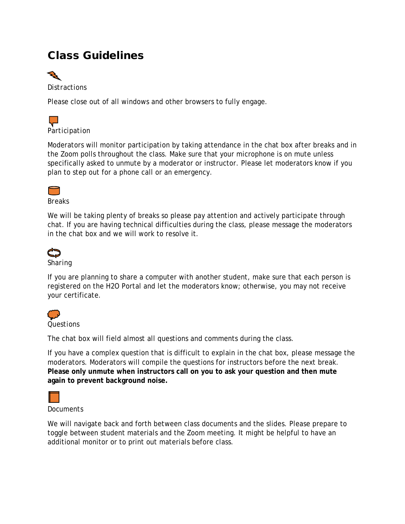# Class Guidelines



*Distractions* 

Please close out of all windows and other browsers to fully engage.



Moderators will monitor participation by taking attendance in the chat box after breaks and in the Zoom polls throughout the class. Make sure that your microphone is on mute unless specifically asked to unmute by a moderator or instructor. Please let moderators know if you plan to step out for a phone call or an emergency.



*Breaks* 

We will be taking plenty of breaks so please pay attention and actively participate through chat. If you are having technical difficulties during the class, please message the moderators in the chat box and we will work to resolve it.



### *Sharing*

If you are planning to share a computer with another student, make sure that each person is registered on the H2O Portal and let the moderators know; otherwise, you may not receive your certificate.



The chat box will field almost all questions and comments during the class.

If you have a complex question that is difficult to explain in the chat box, please message the moderators. Moderators will compile the questions for instructors before the next break. **Please only unmute when instructors call on you to ask your question and then mute again to prevent background noise.**



*Documents* 

We will navigate back and forth between class documents and the slides. Please prepare to toggle between student materials and the Zoom meeting. It might be helpful to have an additional monitor or to print out materials before class.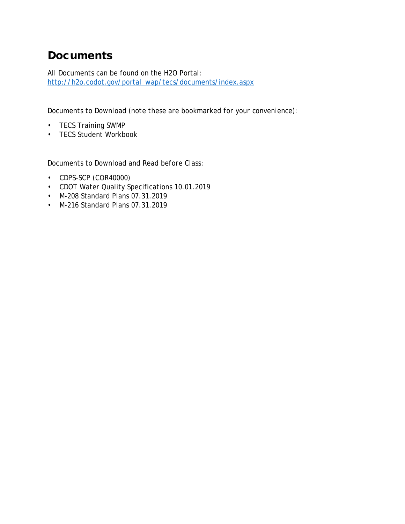# **Documents**

All Documents can be found on the H2O Portal: [http://h2o.codot.gov/portal\\_wap/tecs/documents/index.aspx](http://h2o.codot.gov/portal_wap/tecs/documents/index.aspx)

*Documents to Download (note these are bookmarked for your convenience):*

- TECS Training SWMP
- TECS Student Workbook

*Documents to Download and Read before Class:*

- CDPS-SCP (COR40000)
- CDOT Water Quality Specifications 10.01.2019
- M-208 Standard Plans 07.31.2019
- M-216 Standard Plans 07.31.2019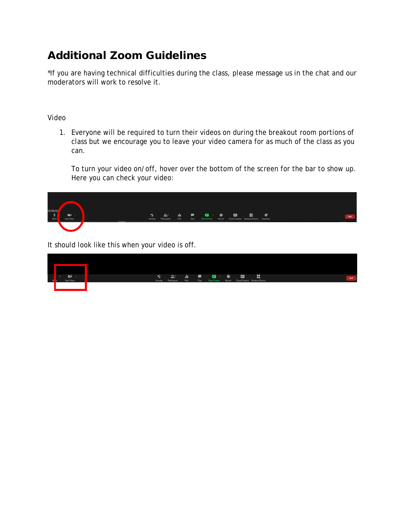# Additional Zoom Guidelines

\*If you are having technical difficulties during the class, please message us in the chat and our moderators will work to resolve it.

### *Video*

1. Everyone will be required to turn their videos on during the breakout room portions of class but we encourage you to leave your video camera for as much of the class as you can.

To turn your video on/off, hover over the bottom of the screen for the bar to show up. Here you can check your video:



It should look like this when your video is off.

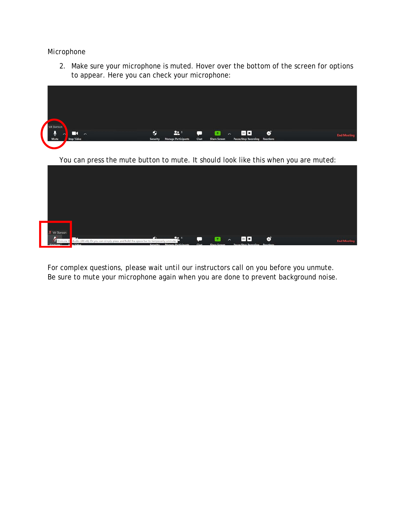#### *Microphone*

2. Make sure your microphone is muted. Hover over the bottom of the screen for options to appear. Here you can check your microphone:



You can press the mute button to mute. It should look like this when you are muted:

| Val Stanson |  |  |  |  |
|-------------|--|--|--|--|

For complex questions, please wait until our instructors call on you before you unmute. Be sure to mute your microphone again when you are done to prevent background noise.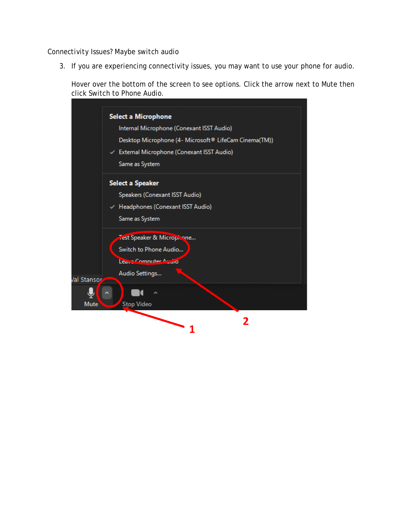#### *Connectivity Issues? Maybe switch audio*

*3.* If you are experiencing connectivity issues, you may want to use your phone for audio.

Hover over the bottom of the screen to see options. Click the arrow next to Mute then click Switch to Phone Audio.

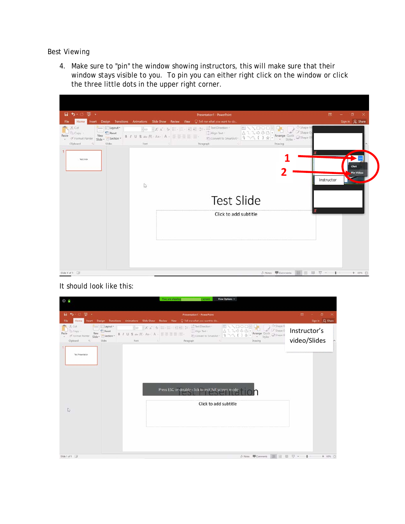#### *Best Viewing*

4. Make sure to "pin" the window showing instructors, this will make sure that their window stays visible to you. To pin you can either right click on the window or click the three little dots in the upper right corner.



# It should look like this:

| $\odot$ $\odot$                                                                                                                                                                                 | View Options ~<br>You are viewing<br>screen                                                                                                            |                              |
|-------------------------------------------------------------------------------------------------------------------------------------------------------------------------------------------------|--------------------------------------------------------------------------------------------------------------------------------------------------------|------------------------------|
|                                                                                                                                                                                                 |                                                                                                                                                        |                              |
| B5.0 B.                                                                                                                                                                                         | Presentation1 - PowerPoint                                                                                                                             | <b>ED</b><br>σ<br>$\times$   |
| Insert Design Transitions<br>Animations<br>Slide Show<br>File<br>Home                                                                                                                           | C Tell me what you want to do<br>Review<br>View                                                                                                        | Sign in A Share              |
| Layout *<br>Cut<br>Reset<br>Copy -<br>B / U S alw 丛· Aa- A - 三至三目 图-<br>Paste<br>New<br>Slide - ESection -<br>S Format Painter<br>÷<br>Clipboard<br><b>Slides</b><br>Font<br>$\Gamma_4$<br>$-1$ | Ct Shape Fi<br>Shape O<br>Align Text =<br>Arrange Quick<br>Styles - Shape El<br>$\mathcal{G}$<br>☆<br>Convert to SmartArt<br>Paragraph<br>Drawing<br>m | Instructor's<br>video/Slides |
| Test Presentation                                                                                                                                                                               | Press ESC or double-click to exit full screen mode                                                                                                     |                              |
| $\mathbb{D}$                                                                                                                                                                                    | Click to add subtitle                                                                                                                                  |                              |
| Slide 1 of 1 $\Box$                                                                                                                                                                             | △ Notes <b>III</b> Comments<br>田<br>即                                                                                                                  | 日-<br>+ 69% 日<br>ŧ           |
|                                                                                                                                                                                                 |                                                                                                                                                        |                              |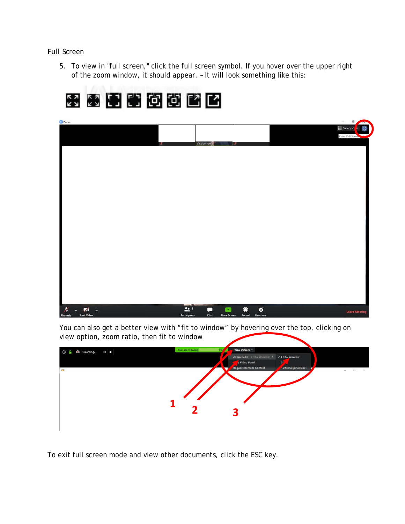# *Full Screen*

5. To view in "full screen," click the full screen symbol. If you hover over the upper right of the zoom window, it should appear. – It will look something like this:



You can also get a better view with "fit to window" by hovering over the top, clicking on view option, zoom ratio, then fit to window



To exit full screen mode and view other documents, click the ESC key.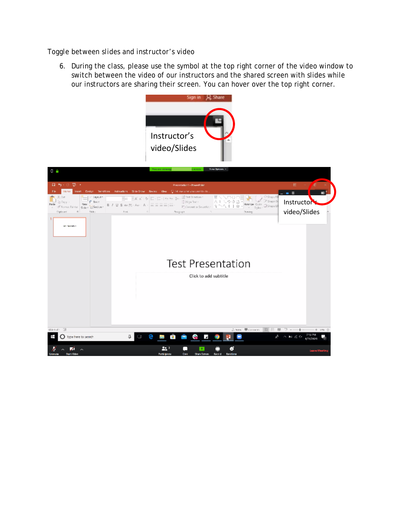#### *Toggle between slides and instructor's video*

6. During the class, please use the symbol at the top right corner of the video window to switch between the video of our instructors and the shared screen with slides while our instructors are sharing their screen. You can hover over the top right corner.

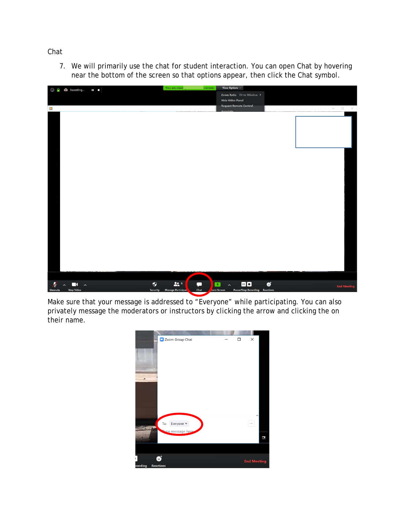## *Chat*

7. We will primarily use the chat for student interaction. You can open Chat by hovering near the bottom of the screen so that options appear, then click the Chat symbol.



Make sure that your message is addressed to "Everyone" while participating. You can also privately message the moderators or instructors by clicking the arrow and clicking the on their name.

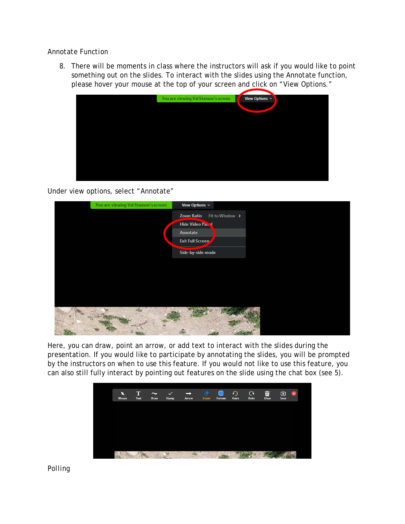## *Annotate Function*

8. There will be moments in class where the instructors will ask if you would like to point something out on the slides. To interact with the slides using the Annotate function, please hover your mouse at the top of your screen and click on "View Options."



Under view options, select "Annotate"



Here, you can draw, point an arrow, or add text to interact with the slides during the presentation. If you would like to participate by annotating the slides, you will be prompted by the instructors on when to use this feature. If you would not like to use this feature, you can also still fully interact by pointing out features on the slide using the chat box (see 5).



*Polling*